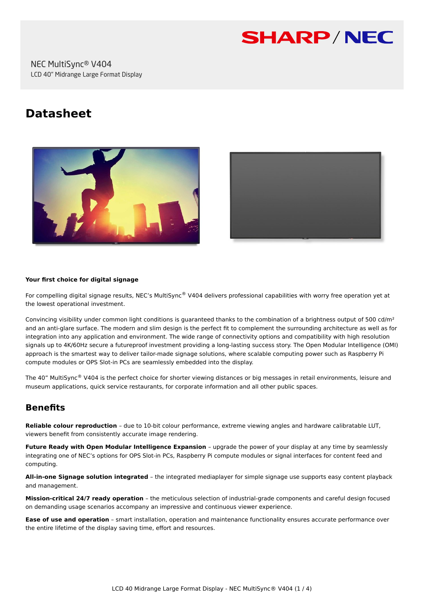

# **Datasheet**





#### **Your first choice for digital signage**

For compelling digital signage results, NEC's MultiSync® V404 delivers professional capabilities with worry free operation yet at the lowest operational investment.

Convincing visibility under common light conditions is quaranteed thanks to the combination of a brightness output of 500 cd/m<sup>2</sup> and an anti-glare surface. The modern and slim design is the perfect fit to complement the surrounding architecture as well as for integration into any application and environment. The wide range of connectivity options and compatibility with high resolution signals up to 4K/60Hz secure a futureproof investment providing a long-lasting success story. The Open Modular Intelligence (OMI) approach is the smartest way to deliver tailor-made signage solutions, where scalable computing power such as Raspberry Pi compute modules or OPS Slot-in PCs are seamlessly embedded into the display.

The 40" MultiSync® V404 is the perfect choice for shorter viewing distances or big messages in retail environments, leisure and museum applications, quick service restaurants, for corporate information and all other public spaces.

# **Benefits**

**Reliable colour reproduction** – due to 10-bit colour performance, extreme viewing angles and hardware calibratable LUT, viewers benefit from consistently accurate image rendering.

**Future Ready with Open Modular Intelligence Expansion** – upgrade the power of your display at any time by seamlessly integrating one of NEC's options for OPS Slot-in PCs, Raspberry Pi compute modules or signal interfaces for content feed and computing.

**All-in-one Signage solution integrated** – the integrated mediaplayer for simple signage use supports easy content playback and management.

**Mission-critical 24/7 ready operation** – the meticulous selection of industrial-grade components and careful design focused on demanding usage scenarios accompany an impressive and continuous viewer experience.

**Ease of use and operation** – smart installation, operation and maintenance functionality ensures accurate performance over the entire lifetime of the display saving time, effort and resources.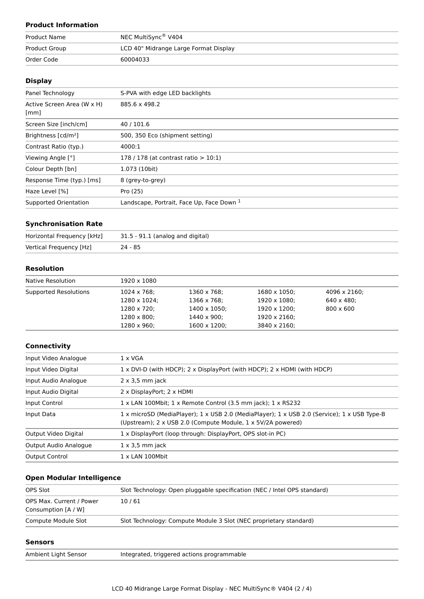# **Product Information**

| Product Name  | NEC MultiSync® V404                   |  |  |
|---------------|---------------------------------------|--|--|
| Product Group | LCD 40" Midrange Large Format Display |  |  |
| Order Code    | 60004033                              |  |  |

# **Display**

| Panel Technology                   | S-PVA with edge LED backlights            |
|------------------------------------|-------------------------------------------|
| Active Screen Area (W x H)<br>[mm] | 885.6 x 498.2                             |
| Screen Size [inch/cm]              | 40/101.6                                  |
| Brightness [cd/m <sup>2</sup> ]    | 500, 350 Eco (shipment setting)           |
| Contrast Ratio (typ.)              | 4000:1                                    |
| Viewing Angle [°]                  | 178 / 178 (at contrast ratio $> 10:1$ )   |
| Colour Depth [bn]                  | 1.073 (10bit)                             |
| Response Time (typ.) [ms]          | 8 (grey-to-grey)                          |
| Haze Level [%]                     | Pro (25)                                  |
| Supported Orientation              | Landscape, Portrait, Face Up, Face Down 1 |

#### **Synchronisation Rate**

| Horizontal Frequency [kHz] | 31.5 - 91.1 (analog and digital) |
|----------------------------|----------------------------------|
| Vertical Frequency [Hz]    | $24 - 85$                        |

# **Resolution**

| Native Resolution     | 1920 x 1080          |                      |                      |                      |  |
|-----------------------|----------------------|----------------------|----------------------|----------------------|--|
| Supported Resolutions | 1024 x 768;          | 1360 x 768;          | $1680 \times 1050$ ; | $4096 \times 2160$ : |  |
|                       | $1280 \times 1024$ : | 1366 x 768;          | 1920 x 1080;         | $640 \times 480$ :   |  |
|                       | 1280 x 720;          | $1400 \times 1050$ ; | 1920 x 1200;         | $800 \times 600$     |  |
|                       | 1280 x 800;          | 1440 x 900;          | 1920 x 2160;         |                      |  |
|                       | 1280 x 960;          | $1600 \times 1200$ ; | 3840 x 2160;         |                      |  |

#### **Connectivity**

| Input Video Analogue  | $1 \times VGA$                                                                                                                                             |  |
|-----------------------|------------------------------------------------------------------------------------------------------------------------------------------------------------|--|
| Input Video Digital   | 1 x DVI-D (with HDCP); 2 x DisplayPort (with HDCP); 2 x HDMI (with HDCP)                                                                                   |  |
| Input Audio Analogue  | $2 \times 3.5$ mm jack                                                                                                                                     |  |
| Input Audio Digital   | 2 x DisplayPort; 2 x HDMI                                                                                                                                  |  |
| Input Control         | 1 x LAN 100Mbit; 1 x Remote Control (3.5 mm jack); 1 x RS232                                                                                               |  |
| Input Data            | 1 x microSD (MediaPlayer); 1 x USB 2.0 (MediaPlayer); 1 x USB 2.0 (Service); 1 x USB Type-B<br>(Upstream); 2 x USB 2.0 (Compute Module, 1 x 5V/2A powered) |  |
| Output Video Digital  | 1 x DisplayPort (loop through: DisplayPort, OPS slot-in PC)                                                                                                |  |
| Output Audio Analogue | $1 \times 3.5$ mm jack                                                                                                                                     |  |
| <b>Output Control</b> | $1 \times$ LAN 100Mbit                                                                                                                                     |  |

# **Open Modular Intelligence**

| OPS Slot                                        | Slot Technology: Open pluggable specification (NEC / Intel OPS standard) |
|-------------------------------------------------|--------------------------------------------------------------------------|
| OPS Max. Current / Power<br>Consumption [A / W] | 10/61                                                                    |
| Compute Module Slot                             | Slot Technology: Compute Module 3 Slot (NEC proprietary standard)        |

#### **Sensors**

or and Integrated, triggered actions programmable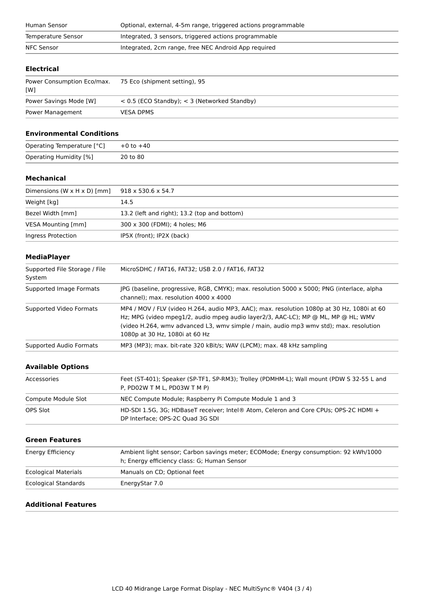| Human Sensor       | Optional, external, 4-5m range, triggered actions programmable |  |
|--------------------|----------------------------------------------------------------|--|
| Temperature Sensor | Integrated, 3 sensors, triggered actions programmable          |  |
| NFC Sensor         | Integrated, 2cm range, free NEC Android App required           |  |
|                    |                                                                |  |

# **Electrical**

| Power Consumption Eco/max.<br>[W] | 75 Eco (shipment setting), 95                    |
|-----------------------------------|--------------------------------------------------|
| Power Savings Mode [W]            | $<$ 0.5 (ECO Standby); $<$ 3 (Networked Standby) |
| Power Management                  | <b>VESA DPMS</b>                                 |

#### **Environmental Conditions**

| Operating Temperature [°C] | +0 to +40 |
|----------------------------|-----------|
| Operating Humidity [%]     | 20 to 80  |

#### **Mechanical**

| Dimensions (W $\times$ H $\times$ D) [mm] | $918 \times 530.6 \times 54.7$               |
|-------------------------------------------|----------------------------------------------|
| Weight [kg]                               | 14.5                                         |
| Bezel Width [mm]                          | 13.2 (left and right); 13.2 (top and bottom) |
| VESA Mounting [mm]                        | 300 x 300 (FDMI); 4 holes; M6                |
| Ingress Protection                        | IP5X (front); IP2X (back)                    |

# **MediaPlayer**

| Supported File Storage / File<br>System | MicroSDHC / FAT16, FAT32; USB 2.0 / FAT16, FAT32                                                                                                                                                                                                                                                           |  |
|-----------------------------------------|------------------------------------------------------------------------------------------------------------------------------------------------------------------------------------------------------------------------------------------------------------------------------------------------------------|--|
| Supported Image Formats                 | JPG (baseline, progressive, RGB, CMYK); max. resolution 5000 x 5000; PNG (interlace, alpha<br>channel); max. resolution $4000 \times 4000$                                                                                                                                                                 |  |
| Supported Video Formats                 | MP4 / MOV / FLV (video H.264, audio MP3, AAC); max. resolution 1080p at 30 Hz, 1080i at 60<br>Hz; MPG (video mpeg1/2, audio mpeg audio layer2/3, AAC-LC); MP @ ML, MP @ HL; WMV<br>(video H.264, wmy advanced L3, wmy simple / main, audio mp3 wmy std); max. resolution<br>1080p at 30 Hz, 1080i at 60 Hz |  |
| Supported Audio Formats                 | MP3 (MP3); max. bit-rate 320 kBit/s; WAV (LPCM); max. 48 kHz sampling                                                                                                                                                                                                                                      |  |

# **Available Options**

| Accessories         | Feet (ST-401); Speaker (SP-TF1, SP-RM3); Trolley (PDMHM-L); Wall mount (PDW S 32-55 L and<br>P, PD02W T M L, PD03W T M P) |
|---------------------|---------------------------------------------------------------------------------------------------------------------------|
| Compute Module Slot | NEC Compute Module; Raspberry Pi Compute Module 1 and 3                                                                   |
| OPS Slot            | HD-SDI 1.5G, 3G; HDBaseT receiver; Intel® Atom, Celeron and Core CPUs; OPS-2C HDMI +<br>DP Interface: OPS-2C Ouad 3G SDI  |

# **Green Features**

| Energy Efficiency           | Ambient light sensor; Carbon savings meter; ECOMode; Energy consumption: 92 kWh/1000<br>h; Energy efficiency class: G; Human Sensor |
|-----------------------------|-------------------------------------------------------------------------------------------------------------------------------------|
| Ecological Materials        | Manuals on CD; Optional feet                                                                                                        |
| <b>Ecological Standards</b> | EnergyStar 7.0                                                                                                                      |

# **Additional Features**